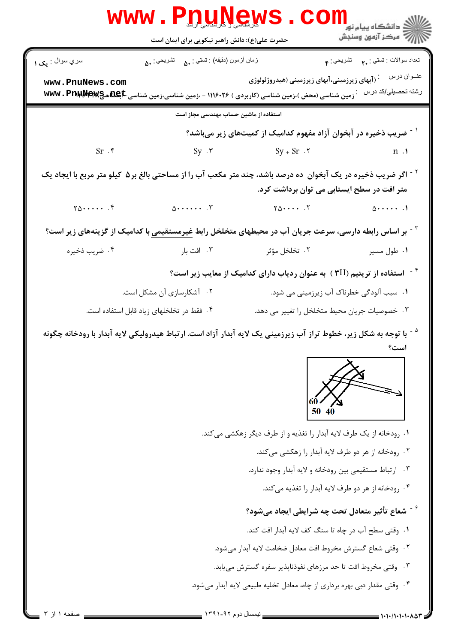| WWW.P <u>nu,News</u> .COIII           |                                                |                                                                                                                                                                  |                                                  |  |  |  |
|---------------------------------------|------------------------------------------------|------------------------------------------------------------------------------------------------------------------------------------------------------------------|--------------------------------------------------|--|--|--|
|                                       |                                                |                                                                                                                                                                  |                                                  |  |  |  |
| سري سوال : يک ۱                       | زمان أزمون (دقيقه) : تستى : ۵۰     تشريحي : ۵۰ |                                                                                                                                                                  | تعداد سوالات : تستي : م               تشريحي : م |  |  |  |
| www.PnuNews.com                       |                                                | ابهای زیرزمینی،آبهای زیرزمینی (هیدروژئولوژی) $\cdot$<br><b>7 زمین شناسی (محض )،زمین شناسی (کاربردی ) ۱۱۱۶۰۲۶ - ،زمین شناسی،زمین شناسی WWW . PnWMPwg &amp;C "</b> | عنــوان درس<br>رشته تحصيلي/كد درس                |  |  |  |
| استفاده از ماشین حساب مهندسی مجاز است |                                                |                                                                                                                                                                  |                                                  |  |  |  |
|                                       |                                                | <sup>۱ -</sup> ضریب ذخیره در آبخوان آزاد مفهوم کدامیک از کمیتهای زیر میباشد؟                                                                                     |                                                  |  |  |  |
| Sr.                                   | $Sy - r$ $Sy + Sr \cdot r$                     |                                                                                                                                                                  | n.1                                              |  |  |  |
|                                       |                                                | <sup>۲ -</sup> اگر ضریب ذخیره در یک آبخوان  ده درصد باشد، چند متر مکعب آب را از مساحتی بالغ بر۵  کیلو متر مربع با ایجاد یک                                       |                                                  |  |  |  |
|                                       |                                                | متر افت در سطح ایستابی می توان برداشت کرد.                                                                                                                       |                                                  |  |  |  |
|                                       |                                                | $\gamma_0, \ldots, \gamma$                                                                                                                                       | $\Delta$                                         |  |  |  |
|                                       |                                                | <sup>۲</sup> <sup>-</sup> بر اساس رابطه دارسی، سرعت جریان آب در محیطهای متخلخل رابط <u>غیرمستقیمی</u> با کدامیک از گزینههای زیر است؟                             |                                                  |  |  |  |
| ۰۴ ضریب ذخیره                         |                                                | ۰۲ تخلخل مؤثر مستخلی است بار افت بار                                                                                                                             | ۰۱ طول مسیر                                      |  |  |  |
|                                       |                                                | استفاده از تریتیم (۳H ) به عنوان ردیاب دارای کدامیک از معایب زیر است $^\circ$                                                                                    |                                                  |  |  |  |
|                                       | ۰۲ آشکارسازی آن مشکل است.                      | ۰۱ سبب آلودگی خطرناک آب زیرزمینی می شود.                                                                                                                         |                                                  |  |  |  |
|                                       | ۰۴ فقط در تخلخلهای زیاد قابل استفاده است.      | ۰۳ خصوصیات جریان محیط متخلخل را تغییر می دهد.                                                                                                                    |                                                  |  |  |  |
|                                       |                                                | <sup>۵ -</sup> با توجه به شکل زیر، خطوط تراز آب زیرزمینی یک لایه آبدار آزاد است. ارتباط هیدرولیکی لایه آبدار با رودخانه چگونه                                    |                                                  |  |  |  |
|                                       |                                                |                                                                                                                                                                  | است؟                                             |  |  |  |
|                                       |                                                |                                                                                                                                                                  |                                                  |  |  |  |
|                                       |                                                | ۰۱ رودخانه از یک طرف لایه آبدار را تغذیه و از طرف دیگر زهکشی میکند.                                                                                              |                                                  |  |  |  |
|                                       |                                                | ۰۲ رودخانه از هر دو طرف لايه آبدار را زهكشي مي كند.                                                                                                              |                                                  |  |  |  |
|                                       |                                                | ۰۳ ارتباط مستقیمی بین رودخانه و لایه آبدار وجود ندارد.                                                                                                           |                                                  |  |  |  |
|                                       |                                                | ۰۴ رودخانه از هر دو طرف لايه آبدار را تغذيه ميكند.                                                                                                               |                                                  |  |  |  |
|                                       |                                                | شعاع تأثیر متعادل تحت چه شرایطی ایجاد میشود؟                                                                                                                     |                                                  |  |  |  |
|                                       |                                                | ٠١. وقتى سطح آب در چاه تا سنگ كف لايه آبدار افت كند.                                                                                                             |                                                  |  |  |  |
|                                       |                                                | ٢. وقتى شعاع گسترش مخروط افت معادل ضخامت لايه آبدار مىشود.                                                                                                       |                                                  |  |  |  |
|                                       |                                                | ۰۳ وقتی مخروط افت تا حد مرزهای نفوذناپذیر سفره گسترش مییابد.                                                                                                     |                                                  |  |  |  |
|                                       |                                                | ۰۴ وقتی مقدار دبی بهره برداری از چاه، معادل تخلیه طبیعی لایه آبدار میشود.                                                                                        |                                                  |  |  |  |

\_\_\_ نیمسال دوم ۱۳۹۱-۹۲ <mark>\_\_\_\_</mark>\_

نفحه ۱ از ۳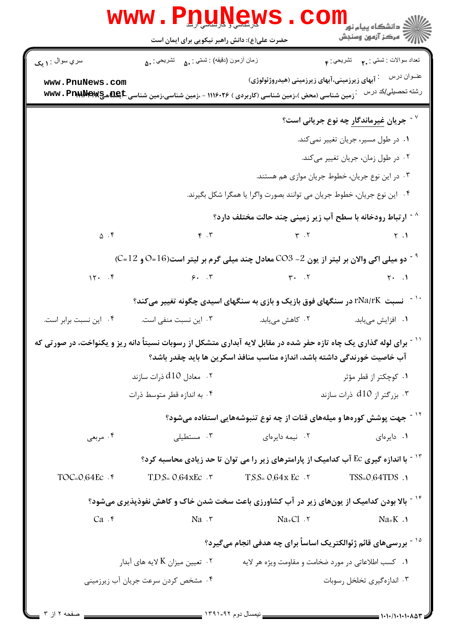|                                                                                                                                                                                                    |                                                                            | WWW.P <u>nungews</u> .com                                                                                                                                             |                                                           |  |  |
|----------------------------------------------------------------------------------------------------------------------------------------------------------------------------------------------------|----------------------------------------------------------------------------|-----------------------------------------------------------------------------------------------------------------------------------------------------------------------|-----------------------------------------------------------|--|--|
| سري سوال : ۱ يک                                                                                                                                                                                    | زمان أزمون (دقيقه) : تستي : ۵۰     تشريحي : ۵۰                             |                                                                                                                                                                       | تعداد سوالات : تستي : ٢. تشريحي : ۴                       |  |  |
| www.PnuNews.com                                                                                                                                                                                    |                                                                            | <sup>:</sup> آبهای زیرزمینی،آبهای زیرزمینی (هیدروژئولوژی)<br><b>َ زمین شناسی (محض )،زمین شناسی (کاربردی ) ۱۱۱۶۰۲۶ - ،زمین شناسی،زمین شناسی WWW . PrAWMeRW (Sam We</b> | عنــوان درس<br>رشته تحصيلي/كد درس                         |  |  |
|                                                                                                                                                                                                    |                                                                            |                                                                                                                                                                       | <sup>۷ -</sup> جریان <u>غیرماندگار</u> چه نوع جریانی است؟ |  |  |
|                                                                                                                                                                                                    | ۰۱ در طول مسیر، جریان تغییر نمی <i>ک</i> ند.                               |                                                                                                                                                                       |                                                           |  |  |
|                                                                                                                                                                                                    | ۰۲ در طول زمان، جریان تغییر میکند.                                         |                                                                                                                                                                       |                                                           |  |  |
|                                                                                                                                                                                                    | ۰۳ در این نوع جریان، خطوط جریان موازی هم هستند.                            |                                                                                                                                                                       |                                                           |  |  |
|                                                                                                                                                                                                    |                                                                            | ۰۴ این نوع جریان، خطوط جریان می توانند بصورت واگرا یا همگرا شکل بگیرند.                                                                                               |                                                           |  |  |
|                                                                                                                                                                                                    |                                                                            | <sup>^ -</sup> ارتباط رودخانه با سطح آب زیر زمینی چند حالت مختلف دارد؟                                                                                                |                                                           |  |  |
| $\Delta$ $\cdot$ $\zeta$                                                                                                                                                                           |                                                                            | $\gamma$ . $\gamma$ . T                                                                                                                                               |                                                           |  |  |
| $^{\circ}$ دو میلی اکی والان بر لیتر از یون 2- CO3 معادل چند میلی گرم بر لیتر است(16=0 و 12=C) $^{\circ}$                                                                                          |                                                                            |                                                                                                                                                                       |                                                           |  |  |
|                                                                                                                                                                                                    |                                                                            |                                                                                                                                                                       |                                                           |  |  |
| نسبت rNa/rK در سنگهای فوق بازیک و بازی به سنگهای اسیدی چگونه تغییر میکند؟                                                                                                                          |                                                                            |                                                                                                                                                                       |                                                           |  |  |
| ۰۴ این نسبت برابر است.                                                                                                                                                                             | ۰۳ این نسبت منفی است.                                                      | ۲.  کاهش میبابد.                                                                                                                                                      | <b>۱</b> .  افزایش مییابد.                                |  |  |
| ٔ ` آ برای لوله گذاری یک چاه تازه حفر شده در مقابل لایه آبداری متشکل از رسوبات نسبتاً دانه ریز و یکنواخت، در صورتی که<br>آب خاصیت خورندگی داشته باشد، اندازه مناسب منافذ اسکرین ها باید چقدر باشد؟ |                                                                            |                                                                                                                                                                       |                                                           |  |  |
|                                                                                                                                                                                                    | ۰۲ معادل d10 ذرات سازند                                                    | ۰۱ کوچکتر از قطر مؤثر                                                                                                                                                 |                                                           |  |  |
|                                                                                                                                                                                                    | ۰۴ به اندازه قطر متوسط ذرات                                                | ۰۳ بزرگتر از d10 ذرات سازند                                                                                                                                           |                                                           |  |  |
|                                                                                                                                                                                                    |                                                                            | <sup>۱۲ -</sup> جهت پوشش کورهها و میلههای قنات از چه نوع تنبوشههایی استفاده میشود؟                                                                                    |                                                           |  |  |
| ۰۴ مربعی                                                                                                                                                                                           | ۰۳ مستطیلی                                                                 | ۰۲ نیمه دایرهای                                                                                                                                                       | ۰۱ دایرهای                                                |  |  |
|                                                                                                                                                                                                    |                                                                            | ا - ۱۳ با اندازه گیری Ec آب کدامیک از پارامترهای زیر را می توان تا حد زیادی محاسبه کرد $^{\circ}$                                                                     |                                                           |  |  |
| $TOC = 0.64$ Ec $\cdot$ $\uparrow$                                                                                                                                                                 | $T.D.S = O.G4XEC$ .                                                        | $T.S.S = 0.64x$ Ec. 7                                                                                                                                                 | TSS=0.64TDS .1                                            |  |  |
| <sup>۱۴ -</sup> بالا بودن کدامیک از یونهای زیر در آب کشاورزی باعث سخت شدن خاک و کاهش نفوذپذیری میشود؟                                                                                              |                                                                            |                                                                                                                                                                       |                                                           |  |  |
| Ca.                                                                                                                                                                                                | Na.7                                                                       | $Na+C1$ . $\tau$                                                                                                                                                      | $Na+K$ .                                                  |  |  |
|                                                                                                                                                                                                    | <sup>۱۵ -</sup> بررسیهای قائم ژئوالکتریک اساساً برای چه هدفی انجام میگیرد؟ |                                                                                                                                                                       |                                                           |  |  |
| ۰۲ تعیین میزان K لایه های آبدار $\cdot$ ۲<br>۰۱ کسب اطلاعاتی در مورد ضخامت و مقاومت ویژه هر لایه                                                                                                   |                                                                            |                                                                                                                                                                       |                                                           |  |  |
|                                                                                                                                                                                                    | ۰۴ مشخص کردن سرعت جریان آب زیرزمینی                                        |                                                                                                                                                                       | ۰۳ اندازهگیری تخلخل رسوبات                                |  |  |
| _ صفحه ۲ از ۳                                                                                                                                                                                      |                                                                            |                                                                                                                                                                       | $= 1.1.11.1.1.1.1$                                        |  |  |